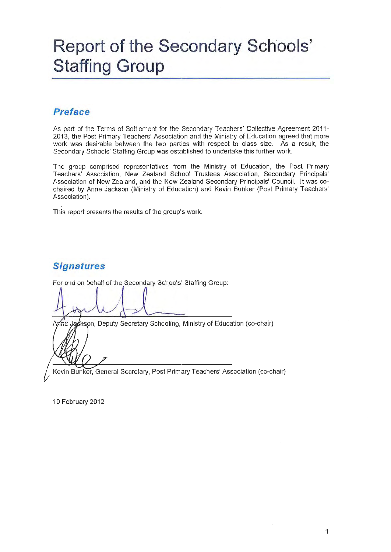# **Report of the Secondary Schools' Staffing Group**

# **Preface**

As part of the Terms of Settlement for the Secondary Teachers' Collective Agreement 2011-2013, the Post Primary Teachers' Association and the Ministry of Education agreed that more work was desirable between the two parties with respect to class size. As a result, the Secondary Schools' Staffing Group was established to undertake this further work.

The group comprised representatives from the Ministry of Education, the Post Primary Teachers' Association, New Zealand School Trustees Association, Secondary Principals' Association of New Zealand, and the New Zealand Secondary Principals' Council. It was cochaired by Anne Jackson (Ministry of Education) and Kevin Bunker (Post Primary Teachers' Association).

This report presents the results of the group's work.

# **Signatures**

For and on behalf of the Secondary Schools' Staffing Group:

ackson, Deputy Secretary Schooling, Ministry of Education (co-chair)

Kevin Bunker, General Secretary, Post Primary Teachers' Association (co-chair)

10 February 2012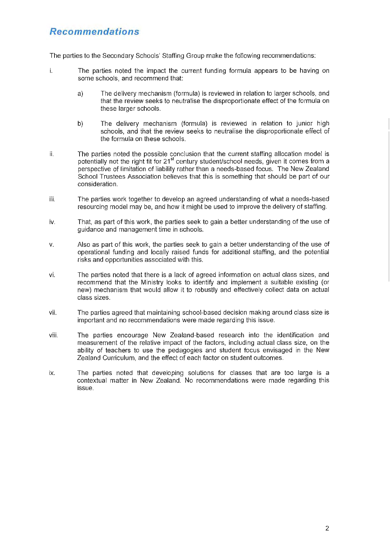# **Recommendations**

The parties to the Secondary Schools' Staffing Group make the following recommendations:

- i. The parties noted the impact the current funding formula appears to be having on some schools, and recommend that:
	- a) The delivery mechanism (formula) is reviewed in relation to larger schools, and that the review seeks to neutralise the disproportionate effect of the formula on these larger schools.
	- b) The delivery mechanism (formula) is reviewed in relation to junior high schoois, and that the review seeks to neutraiise the disproportionate effect of the formula on these schools.
- ii. The parties noted the possible conclusion that the current staffing allocation model is potentially not the right fit for 21<sup>st</sup> century student/school needs, given it comes from a perspective of limitation of liability rather than a needs-based focus. The New Zealand School Trustees Association believes that this is something that should be part of our consideration.
- iii. The parties work together to develop an agreed understanding of what a needs-based resourcing model may be, and how it might be used to improve the delivery of staffing.
- iv. That, as part of this work, the parties seek to gain a better understanding of the use of guidance and management time in schools.
- v. Also as part of this work, the parties seek to gain a better understanding of the use of operational funding and locally raised funds for additional staffing, and the potential risks and opportunities associated with this.
- vi. The parties noted that there is a lack of agreed information on actual class sizes, and recommend that the Ministry looks to identify and implement a suitable existing (or new) mechanism that would allow it to robustly and effectively collect data on actual class sizes.
- vii. The parties agreed that maintaining school-based decision making around class size is important and no recommendations were made regarding this issue.
- viii. The parties encourage New Zealand-based research into the identification and measurement of the relative impact of the factors, including actual class size, on the ability of teachers to use the pedagogies and student focus envisaged in the New Zealand Curriculum, and the effect of each factor on student outcomes.
- $ix.$  The parties noted that developing solutions for classes that are too large is a contextual matter in New Zealand. No recommendations were made regarding this issue.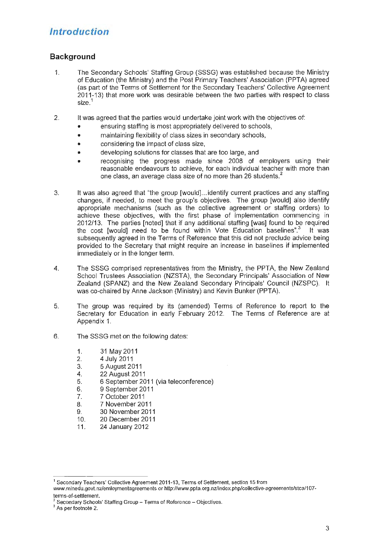# **Introduction**

# **Background**

- 1. The Secondary Schools' Staffing Group (SSSG) was established because the Ministry of Education (the Ministry) and the Post Primary Teachers' Association (PPTA) agreed (as part of the Terms of Settlement for the Secondary Teachers' Collective Agreement 2011-13) that more work was desirable between the two parties with respect to class size.<sup>1</sup>
- 2. It was agreed that the parties would undertake joint work with the objectives of:
	- ensuring staffing is most appropriately delivered to schools,
	- maintaining flexibility of class sizes in secondary schools,
	- considering the impact of class size,
	- developing solutions for classes that are too large, and
	- recognising the progress made since 2008 of employers using their reasonable endeavours to achieve, for each individual teacher with more than one class, an average class size of no more than 26 students.<sup>2</sup>
- 3. It was also agreed that "the group [would) ... identify current practices and any staffing changes, if needed, to meet the group's objectives. The group [would) also identify appropriate mechanisms (such as the collective agreement or staffing orders) to achieve these objectives, with the first phase of implementation commencing in 2012/13. The parties [noted) that if any additional staffing [was) found to be required the cost [would] need to be found within Vote Education baselines".<sup>3</sup> It was subsequently agreed in the Terms of Reference that this did not preclude advice being provided to the Secretary that might require an increase in baselines if implemented immediately or in the longer term.
- 4. The SSSG comprised representatives from the Ministry, the PPTA, the New Zealand School Trustees Association (NZSTA), the Secondary Principals' Association of New Zealand (SPANZ) and the New Zealand Secondary Principals' Council (NZSPC). It was co-chaired by Anne Jackson (Ministry) and Kevin Bunker (PPTA).
- 5. The group was required by its (amended) Terms of Reference to report to the Secretary for Education in early February 2012. The Terms of Reference are at Appendix 1.
- 6. The SSSG met on the following dates:
	- 1. 31May2011
	- 2. 4 July 2011
	- 3. 5 August 2011
	- 4. 22 August 2011
	- 5. 6 September 2011 (via teleconference)
	- 6. 9 September 2011
	- 7. 7 October 2011
	- 8. 7 November 2011
	- 9. 30 November 2011
	- 10. 20 December2011
	- 11. 24 January 2012

<sup>&</sup>lt;sup>1</sup> Secondary Teachers' Collective Agreement 2011-13, Terms of Settlement, section 15 from

www. m inedu. govt. nz/emloymentagreements or http://www. pp ta. org. nz/index. php/collective-agreements/stca/1 07-

terms-of-settlement.<br><sup>2</sup> Secondary Schools' Staffing Group - Terms of Reference - Objectives.<br><sup>3</sup> As per footnote 2.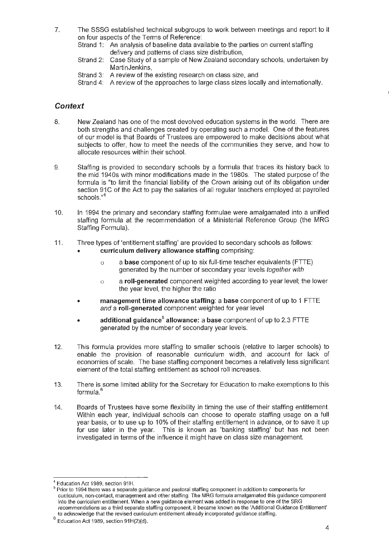7. The SSSG established technical subgroups to work between meetings and report to it on four aspects of the Terms of Reference:

Strand 1: An analysis of baseline data available to the parties on current staffing delivery and patterns of class size distribution,

- Strand 2: Case Study of a sample of New Zealand secondary schools, undertaken by MartinJenkins,
- Strand 3: A review of the existing research on class size, and
- Strand 4: A review of the approaches to large class sizes locally and internationally.

## **Context**

- 8. New Zealand has one of the most devolved education systems in the world. There are both strengths and challenges created by operating such a model. One of the features of our model is that Boards of Trustees are empowered to make decisions about what subjects to offer, how to meet the needs of the communities they serve, and how to allocate resources within their school.
- 9. Staffing is provided to secondary schools by a formula that traces its history back to the mid 1940s with minor modifications made in the 1980s. The stated purpose of the formula is "to limit the financial liability of the Crown arising out of its obligation under section 91C of the Act to pay the salaries of all regular teachers employed at payrolled schools."<sup>4</sup>
- 10. In 1994 the primary and secondary staffing formulae were amalgamated into a unified staffing formula at the recommendation of a Ministerial Reference Group (the MRG Staffing Formula).
- 11. Three types of 'entitlement staffing' are provided to secondary schools as follows: • curriculum delivery allowance staffing comprising:
	- o a base component of up to six full-time teacher equivalents (FTTE) generated by the number of secondary year levels together with
	- o a roll-generated component weighted according to year level; the lower the year level, the higher the ratio
	- management time allowance staffing: a base component of up to 1 FTTE and a roll-generated component weighted for year level
	- additional guidance<sup>5</sup> allowance: a base component of up to 2.3 FTTE generated by the number of secondary year levels.
- 12. This formula provides more staffing to smaller schools (relative to larger schools) to enable the provision of reasonable curriculum width, and account for lack of economies of scale. The base staffing component becomes a relatively less significant element of the total staffing entitlement as school roll increases.
- 13. There is some limited ability for the Secretary for Education to make exemptions to this formula. 6
- 14. Boards of Trustees have some flexibility in timing the use of their staffing entitlement. Within each year, individual schools can choose to operate staffing usage on a full year basis, or to use up to 10% of their staffing entitlement in advance, or to save it up for use later in the year. This is known as 'banking staffing' but has not been investigated in terms of the influence it might have on class size management.

<sup>&</sup>lt;sup>4</sup> Education Act 1989, section 91H.<br><sup>5</sup> Prior to 1994 there was a separate guidance and pastoral staffing component in addition to components for curriculum, non-contact, management and other staffing. The MRG formula amalgamated this guidance component into the curriculum entitlement. When a new guidance element was added in response to one of the SRG recommendations as a third separate staffing component, it became known as the 'Additional Guidance Entitlement' to acknowledge that the revised curriculum entitlement already incorporated guidance staffing.<br><sup>6</sup> Education Act 1989, section 91H(2)(d).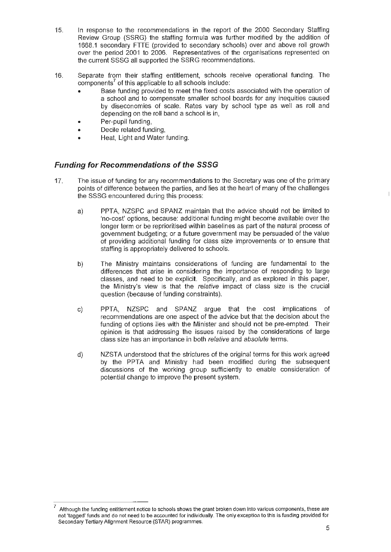- 15. In response to the recommendations in the report of the 2000 Secondary Staffing Review Group (SSRG) the staffing formula was further modified by the addition of 1668.1 secondary FTTE (provided to secondary schools) over and above roll growth over the period 2001 to 2006. Representatives of the organisations represented on the current SSSG all supported the SSRG recommendations.
- 16. Separate from their staffing entitlement, schools receive operational funding. The components<sup>7</sup> of this applicable to all schools include:
	- Base funding provided to meet the fixed costs associated with the operation of a school and to compensate smaller school boards for any inequities caused by diseconomies of scale. Rates vary by school type as well as roll and depending on the roll band a school is in,
	- Per-pupil funding,
	- Decile related funding,
	- Heat, Light and Water funding.

# **Funding for Recommendations of the SSSG**

- 17. The issue of funding for any recommendations to the Secretary was one of the primary points of difference between the parties, and lies at the heart of many of the challenges the SSSG encountered during this process:
	- a) PPTA, NZSPC and SPANZ maintain that the advice should not be limited to 'no-cost' options, because: additional funding might become available over the longer term or be reprioritised within baselines as part of the natural process of government budgeting; or a future government may be persuaded of the value of providing additional funding for class size improvements or to ensure that staffing is appropriately delivered to schools.
	- b) The Ministry maintains considerations of funding are fundamental to the differences that arise in considering the importance of responding to large classes, and need to be explicit. Specifically, and as explored in this paper, the Ministry's view is that the relative impact of class size is the crucial question (because of funding constraints).
	- c) PPTA, NZSPC and SPANZ argue that the cost implications of recommendations are one aspect of the advice but that the decision about the funding of options lies with the Minister and should not be pre-empted. Their opinion is that addressing the issues raised by the considerations of large class size has an importance in both relative and absolute terms.
	- d) NZSTA understood that the strictures of the original terms for this work agreed by the PPTA and Ministry had been modified during the subsequent discussions of the working group sufficiently to enable consideration of potential change to improve the present system.

Although the funding entitlement notice to schools shows the grant broken down into various components, these are not 'tagged' funds and do not need to be accounted for individually. The only exception to this is funding provided for Secondary Tertiary Alignment Resource (STAR) programmes.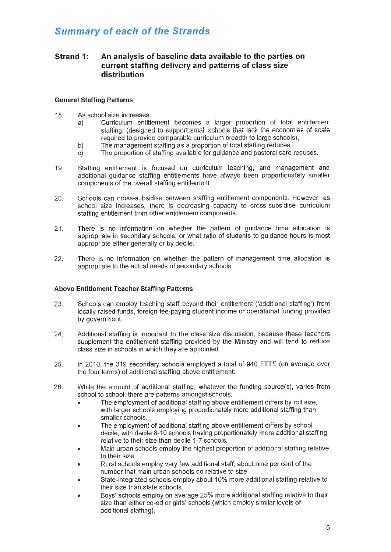# **Summary of each of the Strands**

# **Strand 1: An analysis of baseline data available to the parties on current staffing delivery and patterns of class size distribution**

#### **General Staffing Patterns**

- 18. As school size increases:
	- a) Curriculum entitlement becomes a larger proportion of total entitlement staffing, (designed to support small schools that lack the economies of scale required to provide comparable curriculum breadth to large schools),
	- b) The management staffing as a proportion of total staffing reduces,
	- c) The proportion of staffing available for guidance and pastoral care reduces.
- 19. Staffing entitlement is focused on curriculum teaching, and management and additional guidance staffing entitlements have always been proportionately smaller components of the overall staffing entitlement.
- 20. Schools can cross-subsidise between staffing entitlement components. However, as school size increases, there is decreasing capacity to cross-subsidise curriculum staffing entitlement from other entitlement components.
- 21 . There is no information on whether the pattern of guidance time allocation is appropriate in secondary schools, or what ratio of students to guidance hours is most appropriate either generally or by decile.
- 22. There is no information on whether the pattern of management time allocation is appropriate to the actual needs of secondary schools.

#### **Above Entitlement Teacher Staffing Patterns**

- 23. Schools can employ teaching staff beyond their entitlement ('additional staffing') from locally raised funds, foreign fee-paying student income or operational funding provided by government.
- 24. Additional staffing is important to the class size discussion, because these teachers supplement the entitlement staffing provided by the Ministry and will tend to reduce class size in schools in which they are appointed.
- 25. In 2010, the 319 secondary schools employed a total of 940 FTTE (on average over the four terms) of additional staffing above entitlement.
- 26. While the amount of additional staffing, whatever the funding source(s}, varies from school to school, there are patterns amongst schools:
	- The employment of additional staffing above entitlement differs by roll size, with larger schools employing proportionately more additional staffing than smaller schools.
	- The employment of additional staffing above entitlement differs by school decile, with decile 8-10 schools having proportionately more additional staffing relative to their size than decile 1-7 schools.
	- Main urban schools employ the highest proportion of additional staffing relative to their size.
	- Rural schools employ very few additional staff, about nine per cent of the number that main urban schools do relative to size.
	- State-integrated schools employ about 10% more additional staffing relative to their size than state schools.
	- Boys' schools employ on average 25% more additional staffing relative to their size than either co-ed or girls' schools (which employ similar levels of additional staffing).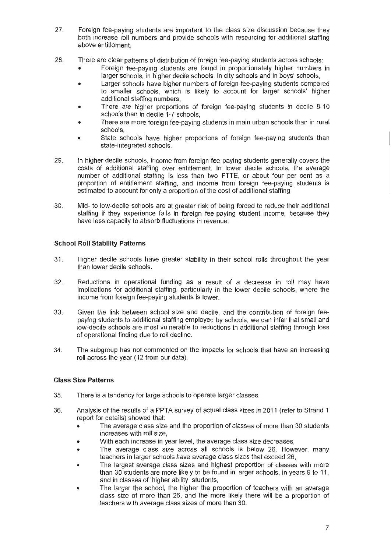- 27. Foreign fee-paying students are important to the class size discussion because they both increase roll numbers and provide schools with resourcing for additional staffing above entitlement.
- 28. There are clear patterns of distribution of foreign fee-paying students across schools:
	- Foreign fee-paying students are found in proportionately higher numbers in larger schools, in higher decile schools, in city schools and in boys' schools,
	- Larger schools have higher numbers of foreign fee-paying students compared to smaller schools, which is likely to account for larger schools' higher additional staffing numbers,
	- There are higher proportions of foreign fee-paying students in decile 8-10 schools than in decile 1-7 schools,
	- There are more foreign fee-paying students in main urban schools than in rural schools,
	- State schools have higher proportions of foreign fee-paying students than state-integrated schools.
- 29. In higher decile schools, income from foreign fee-paying students generally covers the costs of additional staffing over entitlement. In lower decile schools, the average number of additional staffing is less than two FTTE, or about four per cent as a proportion of entitlement staffing, and income from foreign fee-paying students is estimated to account for only a proportion of the cost of additional staffing.
- 30. Mid- to low-decile schools are at greater risk of being forced to reduce their additional staffing if they experience falls in foreign fee-paying student income, because they have less capacity to absorb fluctuations in revenue.

### School Roll Stability Patterns

- 31 . Higher decile schools have greater stability in their school rolls throughout the year than lower decile schools.
- 32. Reductions in operational funding as a result of a decrease in roll may have implications for additional staffing, particularly in the lower decile schools, where the income from foreign fee-paying students is lower.
- 33. Given the link between school size and decile, and the contribution of foreign feepaying students to additional staffing employed by schools, we can infer that small and low-decile schools are most vulnerable to reductions in additional staffing through loss of operational finding due to roll decline.
- 34. The subgroup has not commented on the impacts for schools that have an increasing roll across the year (12 from our data).

### Class Size Patterns

- 35. There is a tendency for large schools to operate larger classes.
- 36. Analysis of the results of a PPTA survey of actual class sizes in 2011 (refer to Strand 1 report for details) showed that:
	- The average class size and the proportion of classes of more than 30 students increases with roll size,
	- With each increase in year level, the average class size decreases,
	- The average class size across all schools is below 26. However, many teachers in larger schools have average class sizes that exceed 26,
	- The largest average class sizes and highest proportion of classes with more than 30 students are more likely to be found in larger schools, in years 9 to 11, and in classes of 'higher ability' students,
	- The larger the school, the higher the proportion of teachers with an average class size of more than 26, and the more likely there will be a proportion of teachers with average class sizes of more than 30.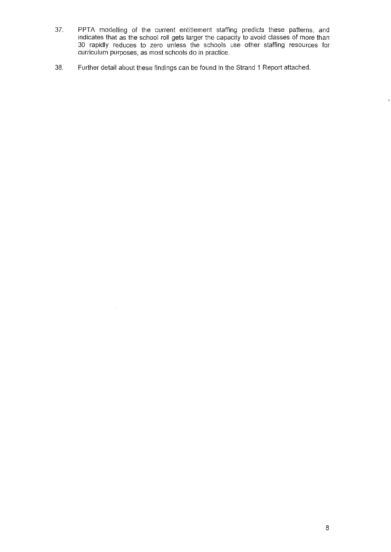- 37. PPTA modelling of the current entitlement staffing predicts these patterns, and indicates that as the school roll gets larger the capacity to avoid classes of more than 30 rapidly reduces to zero unless the schools use other staffing resources for curriculum purposes, as most schools do in practice.
- 38. Further detail about these findings can be found in the Strand 1 Report attached.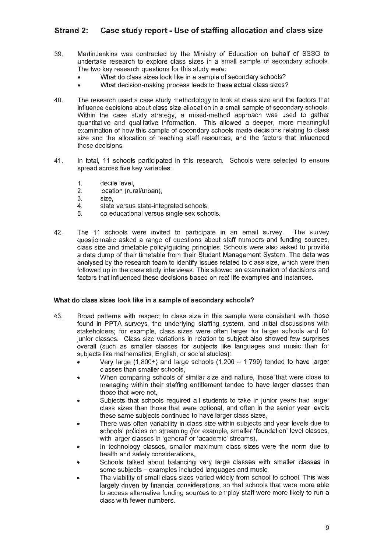# Strand 2: Case study report - Use of staffing allocation and class size

- 39. MartinJenkins was contracted by the Ministry of Education on behalf of SSSG to undertake research to explore class sizes in a small sample of secondary schools. The two key research questions for this study were:
	- What do class sizes look like in a sample of secondary schools?
	- What decision-making process leads to these actual class sizes?
- 40. The research used a case study methodology to look at class size and the factors that influence decisions about class size allocation in a small sample of secondary schools. Within the case study strategy, a mixed-method approach was used to gather quantitative and qualitative information. This allowed a deeper, more meaningful examination of how this sample of secondary schools made decisions relating to class size and the allocation of teaching staff resources, and the factors that influenced these decisions.
- 41. In total, 11 schools participated in this research. Schools were selected to ensure spread across five key variables:
	- 1. decile level,
	- 2. location (rural/urban),
	- 3. size,
	- 4. state versus state-integrated schools,
	- 5. co-educational versus single sex schools.
- 42. The 11 schools were invited to participate in an email survey. The survey questionnaire asked a range of questions about staff numbers and funding sources, class size and timetable policy/guiding principles. Schools were also asked to provide a data dump of their timetable from their Student Management System. The data was analysed by the research team to identify issues related to class size, which were then followed up in the case study interviews. This allowed an examination of decisions and factors that influenced these decisions based on real life examples and instances.

#### What do class sizes look like in a sample of secondary schools?

- 43. Broad patterns with respect to class size in this sample were consistent with those found in PPTA surveys, the underlying staffing system, and initial discussions with stakeholders; for example, class sizes were often larger for larger schools and for junior classes. Class size variations in relation to subject also showed few surprises overall (such as smaller classes for subjects like languages and music than for subjects like mathematics, English, or social studies):
	- Very large (1,800+) and large schools (1,200  $-$  1,799) tended to have larger classes than smaller schools,
	- When comparing schools of similar size and nature, those that were close to managing within their staffing entitlement tended to have larger classes than those that were not,
	- Subjects that schools required all students to take in junior years had larger class sizes than those that were optional, and often in the senior year levels these same subjects continued to have larger class sizes,
	- There was often variability in class size within subjects and year levels due to schools' policies on streaming (for example, smaller 'foundation' level classes, with larger classes in 'general' or 'academic' streams),
	- In technology classes, smaller maximum class sizes were the norm due to health and safety considerations,
	- Schools talked about balancing very large classes with smaller classes in some subjects - examples included languages and music,
	- The viability of small class sizes varied widely from school to school. This was largely driven by financial considerations, so that schools that were more able to access alternative funding sources to employ staff were more likely to run a class with fewer numbers.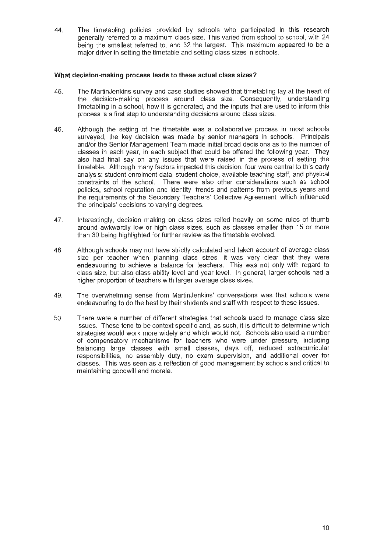44. The timetabling policies provided by schools who participated in this research generally referred to a maximum class size. This varied from school to school, with 24 being the smallest referred to, and 32 the largest. This maximum appeared to be a major driver in setting the timetable and setting class sizes in schools.

#### **What decision-making process leads to these actual class sizes?**

- 45. The MartinJenkins survey and case studies showed that timetabling lay at the heart of the decision-making process around class size. Consequently, understanding timetabling in a school, how it is generated, and the inputs that are used to inform this process is a first step to understanding decisions around class sizes.
- 46. Although the setting of the timetable was a collaborative process in most schools surveyed, the key decision was made by senior managers in schools. Principals and/or the Senior Management Team made initial broad decisions as to the number of classes in each year, in each subject that could be offered the following year. They also had final say on any issues that were raised in the process of setting the timetable. Although many factors impacted this decision, four were central to this early analysis: student enrolment data, student choice, available teaching staff, and physical constraints of the school. There were also other considerations such as school policies, school reputation and identity, trends and patterns from previous years and the requirements of the Secondary Teachers' Collective Agreement, which influenced the principals' decisions to varying degrees.
- 47. Interestingly, decision making on class sizes relied heavily on some rules of thumb around awkwardly low or high class sizes, such as classes smaller than 15 or more than 30 being highlighted for further review as the timetable evolved.
- 48. Although schools may not have strictly calculated and taken account of average class size per teacher when planning class sizes, it was very clear that they were endeavouring to achieve a balance for teachers. This was not only with regard to class size, but also class ability level and year level. In general, larger schools had a higher proportion of teachers with larger average class sizes.
- 49. The overwhelming sense from MartinJenkins' conversations was that schools were endeavouring to do the best by their students and staff with respect to these issues.
- 50. There were a number of different strategies that schools used to manage class size issues. These tend to be context specific and, as such, it is difficult to determine which strategies would work more widely and which would not. Schools also used a number of compensatory mechanisms for teachers who were under pressure, including balancing large classes with small classes, days off, reduced extracurricular responsibilities, no assembly duty, no exam supervision, and additional cover for classes. This was seen as a reflection of good management by schools and critical to maintaining goodwill and morale.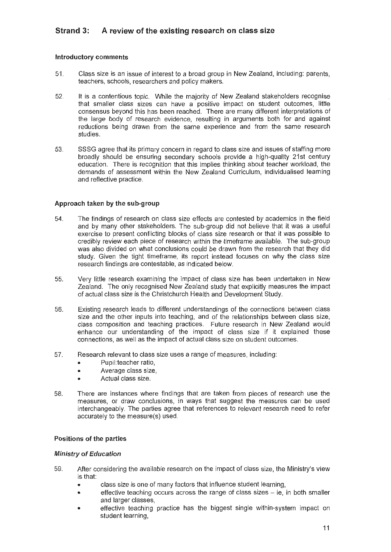# **Strand 3: A review of the existing research on class size**

#### **Introductory comments**

- 51 . Class size is an issue of interest to a broad group in New Zealand, including: parents, teachers, schools, researchers and policy makers.
- 52. It is a contentious topic. While the majority of New Zealand stakeholders recognise that smaller class sizes can have a positive impact on student outcomes, little consensus beyond this has been reached. There are many different interpretations of the large body of research evidence, resulting in arguments both for and against reductions being drawn from the same experience and from the same research studies.
- 53. SSSG agree that its primary concern in regard to class size and issues of staffing more broadly should be ensuring secondary schools provide a high-quality 21st century education. There is recognition that this implies thinking about teacher workload, the demands of assessment within the New Zealand Curriculum, individualised learning and reflective practice.

#### **Approach taken by the sub-group**

- 54. The findings of research on class size effects are contested by academics in the field and by many other stakeholders. The sub-group did not believe that it was a useful exercise to present conflicting blocks of class size research or that it was possible to credibly review each piece of research within the timeframe available. The sub-group was also divided on what conclusions could be drawn from the research that they did study. Given the tight timeframe, its report instead focuses on why the class size research findings are contestable, as indicated below.
- 55. Very little research examining the impact of class size has been undertaken in New Zealand. The only recognised New Zealand study that explicitly measures the impact of actual class size is the Christchurch Health and Development Study.
- 56. Existing research leads to different understandings of the connections between class size and the other inputs into teaching, and of the relationships between class size, class composition and teaching practices. Future research in New Zealand would enhance our understanding of the impact of class size if it explained these connections, as well as the impact of actual class size on student outcomes.
- 57. Research relevant to class size uses a range of measures, including:
	- Pupil:teacher ratio,
	- Average class size,
	- Actual class size.
- 58. There are instances where findings that are taken from pieces of research use the measures, or draw conclusions, in ways that suggest the measures can be used interchangeably. The parties agree that references to relevant research need to refer accurately to the measure(s) used.

#### **Positions of the parties**

#### **Ministry of Education**

- 59. After considering the available research on the impact of class size, the Ministry's view is that:
	- class size is one of many factors that influence student learning,
	- effective teaching occurs across the range of class sizes ie, in both smaller and larger classes,
	- effective teaching practice has the biggest single within-system impact on student learning,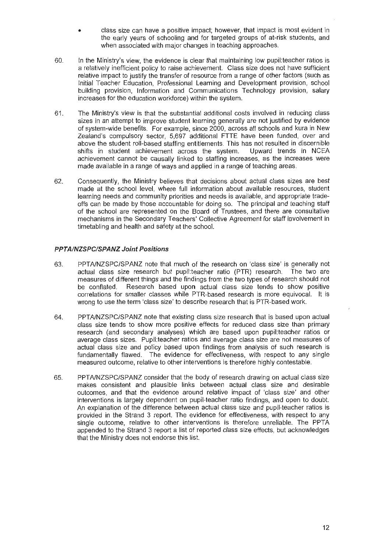- class size can have a positive impact; however, that impact is most evident in the early years of schooling and for targeted groups of at-risk students, and when associated with major changes in teaching approaches.
- 60. In the Ministry's view, the evidence is clear that maintaining low pupil:teacher ratios is a relatively inefficient policy to raise achievement. Class size does not have sufficient relative impact to justify the transfer of resource from a range of other factors (such as Initial Teacher Education, Professional Learning and Development provision, school building provision, Information and Communications Technology provision, salary increases for the education workforce) within the system.
- 61. The Ministry's view is that the substantial additional costs involved in reducing class sizes in an attempt to improve student learning generally are not justified by evidence of system-wide benefits. For example, since 2000, across all schools and kura in New Zealand's compulsory sector, 5,697 additional FTTE have been funded, over and above the student roll-based staffing entitlements. This has not resulted in discernible shifts in student achievement across the system. Upward trends in NCEA achievement cannot be causally linked to staffing increases, as the increases were made available in a range of ways and applied in a range of teaching areas.
- 62. Consequently, the Ministry believes that decisions about actual class sizes are best made at the school level, where full information about available resources, student learning needs and community priorities and needs is available, and appropriate tradeoffs can be made by those accountable for doing so. The principal and teaching staff of the school are represented on the Board of Trustees, and there are consultative mechanisms in the Secondary Teachers' Collective Agreement for staff involvement in timetabling and health and safety at the school.

#### PPTA/NZSPC/SPANZ Joint Positions

- 63. PPTNNZSPC/SPANZ note that much of the research on 'class size' is generally not actual class size research but pupil:teacher ratio (PTR) research. The two are measures of different things and the findings from the two types of research should not be conflated. Research based upon actual class size tends to show positive correlations for smaller classes while PTR-based research is more equivocal. It is wrong to use the term 'class size' to describe research that is PTR-based work.
- 64. PPTNNZSPC/SPANZ note that existing class size research that is based upon actual class size tends to show more positive effects for reduced class size than primary research (and secondary analyses) which are based upon pupil:teacher ratios or average class sizes. Pupil:teacher ratios and average class size are not measures of actual class size and policy based upon findings from analysis of such research is fundamentally flawed. The evidence for effectiveness, with respect to any single measured outcome, relative to other interventions is therefore highly contestable.
- 65. PPTNNZSPC/SPANZ consider that the body of research drawing on actual class size makes consistent and plausible links between actual class size and desirable outcomes, and that the evidence around relative impact of 'class size' and other interventions is largely dependent on pupil-teacher ratio findings, and open to doubt. An explanation of the difference between actual class size and pupil-teacher ratios is provided in the Strand 3 report. The evidence for effectiveness, with respect to any single outcome, relative to other interventions is therefore unreliable. The PPTA appended to the Strand 3 report a list of reported class size effects, but acknowledges that the Ministry does not endorse this list.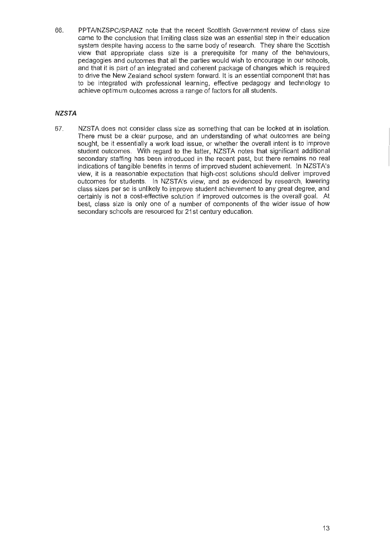66. PPTA/NZSPC/SPANZ note that the recent Scottish Government review of class size came to the conclusion that limiting class size was an essential step in their education system despite having access to the same body of research. They share the Scottish view that appropriate class size is a prerequisite for many of the behaviours, pedagogies and outcomes that all the parties would wish to encourage in our schools, and that it is part of an integrated and coherent package of changes which is required to drive the New Zealand school system forward. It is an essential component that has to be integrated with professional learning, effective pedagogy and technology to achieve optimum outcomes across a range of factors for all students.

### **NZSTA**

67. NZSTA does not consider class size as something that can be looked at in isolation. There must be a clear purpose, and an understanding of what outcomes are being sought, be it essentially a work load issue, or whether the overall intent is to improve student outcomes. With regard to the latter, NZSTA notes that significant additional secondary staffing has been introduced in the recent past, but there remains no real indications of tangible benefits in terms of improved student achievement. In NZSTA's view, it is a reasonable expectation that high-cost solutions should deliver improved outcomes for students. In NZSTA's view, and as evidenced by research, lowering class sizes per se is unlikely to improve student achievement to any great degree, and certainly is not a cost-effective solution if improved outcomes is the overall goal. At best, class size is only one of a number of components of the wider issue of how secondary schools are resourced for 21st century education.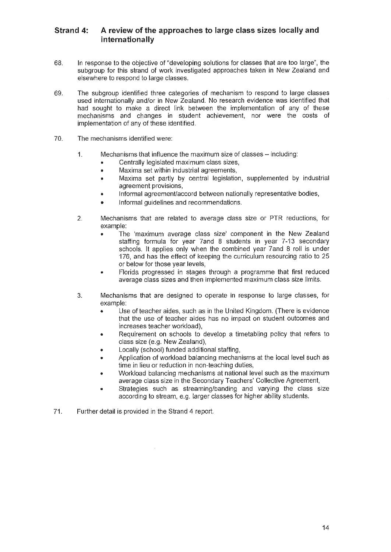# **Strand 4: A review of the approaches to large class sizes locally and internationally**

- 68. In response to the objective of "developing solutions for classes that are too large", the subgroup for this strand of work investigated approaches taken in New Zealand and elsewhere to respond to large classes.
- 69. The subgroup identified three categories of mechanism to respond to large classes used internationally and/or in New Zealand. No research evidence was identified that had sought to make a direct link between the implementation of any of these mechanisms and changes in student achievement, nor were the costs of implementation of any of these identified.
- 70. The mechanisms identified were:
	- 1. Mechanisms that influence the maximum size of classes including:
		- Centrally legislated maximum class sizes,
		- Maxima set within industrial agreements,
		- Maxima set partly by central legislation, supplemented by industrial agreement provisions,
		- Informal agreement/accord between nationally representative bodies,
		- Informal guidelines and recommendations.
	- 2. Mechanisms that are related to average class size or PTR reductions, for example:
		- The 'maximum average class size' component in the New Zealand staffing formula for year ?and 8 students in year 7-13 secondary schools. It applies only when the combined year ?and 8 roll is under 176, and has the effect of keeping the curriculum resourcing ratio to 25 or below for those year levels,
		- Florida progressed in stages through a programme that first reduced average class sizes and then implemented maximum class size limits.
	- 3. Mechanisms that are designed to operate in response to large classes, for example:
		- Use of teacher aides, such as in the United Kingdom. (There is evidence that the use of teacher aides has no impact on student outcomes and increases teacher workload),
		- Requirement on schools to develop a timetabling policy that refers to class size (e.g. New Zealand),
		- Locally (school) funded additional staffing,
		- Application of workload balancing mechanisms at the local level such as time in lieu or reduction in non-teaching duties,
		- Workload balancing mechanisms at national level such as the maximum average class size in the Secondary Teachers' Collective Agreement,
		- Strategies such as streaming/banding and varying the class size according to stream, e.g. larger classes for higher ability students.
- 71. Further detail is provided in the Strand 4 report.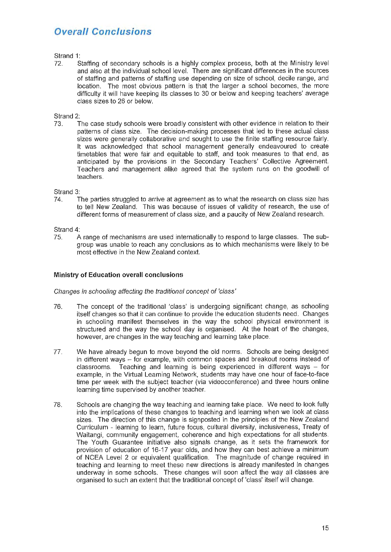# **Overall Conclusions**

#### Strand 1:

72. Staffing of secondary schools is a highly complex process, both at the Ministry level and also at the individual school level. There are significant differences in the sources of staffing and patterns of staffing use depending on size of school, decile range, and location. The most obvious pattern is that the larger a school becomes, the more difficulty it will have keeping its classes to 30 or below and keeping teachers' average class sizes to 26 or below.

#### Strand 2:

73. The case study schools were broadily consistent with other evidence in relation to their patterns of ciass size. The decision-making processes that led to these actual class sizes were generally collaborative and sought to use the finite staffing resource fairly. It was acknowledged that school management generally endeavoured to create timetables that were fair and equitable to staff, and took measures to that end, as anticipated by the provisions in the Secondary Teachers' Collective Agreement. Teachers and management alike agreed that the system runs on the goodwill of teachers.

#### Strand 3:

74. The parties struggled to arrive at agreement as to what the research on class size has to tell New Zealand. This was because of issues of validity of research, the use of different forms of measurement of class size, and a paucity of New Zealand research.

Strand 4:

75. A range of mechanisms are used initernationally to respond to large classes. The subgroup was unable to reach any conclusions as to which mechanisms were likely to be most effective in the New Zealand context.

#### **Ministry of Education overall conclusions**

Changes in schooling affecting the traditional concept of 'class'

- 76. The concept of the traditional 'class' is undergoing significant change, as schooling itself changes so that it can continue to provide the education students need. Changes in schooling manifest themselves in the way the school physical environment is structured and the way the school day is organised. At the heart of the changes, however, are changes in the way teaching and learning take place.
- 77. We have already begun to move beyond the old norms. Schools are being designed in different ways  $-$  for example, with common spaces and breakout rooms instead of classrooms. Teaching and learning is being experienced in different ways  $-$  for example, in the Virtual Learning Network, students may have one hour of face-to-face time per week with the subject teacher (via videoconference) and three hours online learning time supervised by another teacher.
- 78. Schools are changing the way teaching and learning take place. We need to look fully into the implications of these changes to teaching and learning when we look at class sizes. The direction of this change is signposted in the principles of the New Zealand Curriculum - learning to learn, future focus, cultural diversity, inclusiveness, Treaty of Waitangi, community engagement, coherence and high expectations for all students. The Youth Guarantee initiative also signals change, as it sets the framework for provision of education of 16-17 year olds, and how they can best achieve a minimum of NCEA Level 2 or equivalent qualification. The magnitude of change required in teaching and learning to meet these new directions is already manifested in changes underway in some schools. These changes will soon affect the way all classes are organised to such an extent that the traditional concept of 'class' itself will change.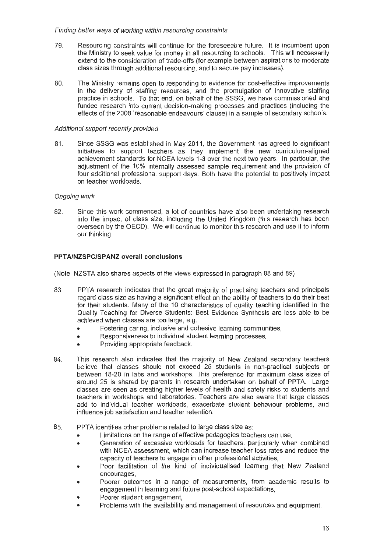#### Finding better ways of working within resourcing constraints

- 79. Resourcing constraints will continue for the foreseeable future. It is incumbent upon the Ministry to seek value for money in all resourcing to schools. This will necessarily extend to the consideration of trade-offs (for example between aspirations to moderate class sizes through additional resourcing, and to secure pay increases).
- 80. The Ministry remains open to responding to evidence for cost-effective improvements in the delivery of staffing resources, and the promulgation of innovative staffing practice in schools. To that end, on behalf of the SSSG, we have commissioned and funded research into current decision-making processes and practices (including the effects of the 2008 'reasonable endeavours' clause) in a sample of secondary schools.

#### Additional support recently provided

81. Since SSSG was established in May 2011, the Government has agreed to significant initiatives to support teachers as they implement the new curriculum-aligned achievement standards for NCEA levels 1-3 over the next two years. In particular, the adjustment of the 10% internally assessed sample requirement and the provision of four additional professional support days. Both have the potential to positively impact on teacher workloads.

### Ongoing work

82. Since this work commenced, a lot of countries have also been undertaking research into the impact of class size, including the United Kingdom (this research has been overseen by the OECD). We will continue to monitor this research and use it to inform our thinking.

### **PPTA/NZSPC/SPANZ overall conclusions**

(Note: NZSTA also shares aspects of the views expressed in paragraph 88 and 89)

- 83. PPTA research indicates that the great majority of practising teachers and principals regard class size as having a significant effect on the ability of teachers to do their best for their students. Many of the 10 characteristics of quality teaching identified in the Quality Teaching for Diverse Students: Best Evidence Synthesis are less able to be achieved when classes are too large, e.g.
	- Fostering caring, inclusive and cohesive learning communities,
	- Responsiveness to individual student learning processes,
	- Providing appropriate feedback.
- 84. This research also indicates that the majority of New Zealand secondary teachers believe that classes should not exceed 25 students in non-practical subjects or between 18-20 in labs and workshops. This preference for maximum class sizes of around 25 is shared by parents in research undertaken on behalf of PPTA. Large classes are seen as creating higher levels of health and safety risks to students and teachers in workshops and laboratories. Teachers are also aware that large classes add to individual teacher workloads, exacerbate student behaviour problems, and influence job satisfaction and teacher retention.
- 85. PPTA identifies other problems related to large class size as:
	- Limitations on the range of effective pedagogies teachers can use,
	- Generation of excessive workloads for teachers, particularly when combined with NCEA assessment, which can increase teacher loss rates and reduce the capacity of teachers to engage in other professional activities,
	- Poor facilitation of the kind of individualised learning that New Zealand encourages,
	- Poorer outcomes in a range of measurements, from academic results to engagement in learning and future post-school expectations,
	- Poorer student engagement,
	- Problems with the availability and management of resources and equipment.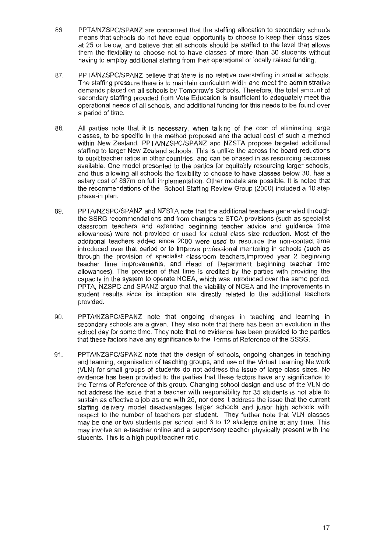- 86. PPTNNZSPC/SPANZ are concerned that the staffing allocation to secondary schools means that schools do not have equal opportunity to choose to keep their class sizes at 25 or below, and believe that all schools should be staffed to the level that allows them the flexibility to choose not to have classes of more than 30 students without having to employ additional staffing from their operational or locally raised funding.
- 87. PPTA/NZSPC/SPANZ believe that there is no relative overstaffing in smaller schools. The staffing pressure there is to maintain curriculum width and meet the administrative demands placed on all schools by Tomorrow's Schools. Therefore, the total amount of secondary staffing provided from Vote Education is insufficient to adequately meet the operational needs of all schools, and additional funding for this needs to be found over a period of time.
- 88. All parties note that it is necessary, when talking of the cost of eliminating large classes, to be specific in the method proposed and the actual cost of such a method within New Zealand. PPTA/NZSPC/SPANZ and NZSTA propose targeted additional staffing to larger New Zealand schools. This is unlike the across-the-board reductions to pupil:teacher ratios in other countries, and can be phased in as resourcing becomes available. One model presented to the parties for equitably resourcing larger schools, and thus allowing all schools the flexibility to choose to have classes below 30, has a salary cost of \$67m on full implementation. Other models are possible. It is noted that the recommendations of the School Staffing Review Group (2000) included a 10 step phase-in plan.
- 89. PPTA/NZSPC/SPANZ and NZSTA note that the additional teachers generated through the SSRG recommendations and from changes to STCA provisions (such as specialist classroom teachers and extended beginning teacher advice and guidance time allowances) were not provided or used for actual class size reduction. Most of the additional teachers added since 2000 were used to resource the non-contact time introduced over that period or to improve professional mentoring in schools (such as through the provision of specialist classroom teachers,improved year 2 beginning teacher time improvements, and Head of Department beginning teacher time allowances). The provision of that time is credited by the parties with providing the capacity in the system to operate NCEA, which was introduced over the same period. PPTA, NZSPC and SPANZ argue that the viability of NCEA and the improvements in student results since its inception are directly related to the additional teachers provided.
- 90. PPTNNZSPC/SPANZ note that ongoing changes in teaching and learning in secondary schools are a given. They also note that there has been an evolution in the school day for some time. They note that no evidence has been provided to the parties that these factors have any significance to the Terms of Reference of the SSSG.
- 91. PPTNNZSPC/SPANZ note that the design of schools, ongoing changes in teaching and learning, organisation of teaching groups, and use of the Virtual Learning Network (VLN) for small groups of students do not address the issue of large class sizes. No evidence has been provided to the parties that these factors have any significance to the Terms of Reference of this group. Changing school design and use of the VLN do not address the issue that a teacher with responsibility for 35 students is not able to sustain as effective a job as one with 25, nor does it address the issue that the current staffing delivery model disadvantages larger schools and junior high schools with respect to the number of teachers per student. They further note that VLN classes may be one or two students per school and 6 to 12 students online at any time. This may involve an e-teacher online and a supervisory teacher physically present with the students. This is a high pupil:teacher ratio.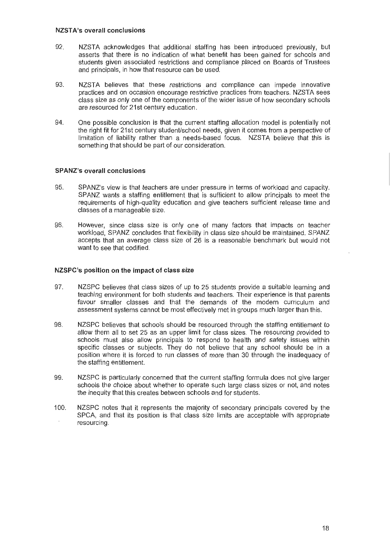#### **NZST A's overall conclusions**

- 92. NZSTA acknowledges that additional staffing has been introduced previously, but asserts that there is no indication of what benefit has been gained for schools and students given associated restrictions and compliance placed on Boards of Trustees and principals, in how that resource can be used.
- 93. NZSTA believes that these restrictions and compliance can impede innovative practices and on occasion encourage restrictive practices from teachers. NZSTA sees class size as only one of the components of the wider issue of how secondary schools are resourced for 21st century education.
- 94. One possible conclusion is that the current staffing allocation model is potentially not the right fit for 21st century student/school needs, given it comes from a perspective of limitation of liability rather than a needs-based focus. NZSTA believe that this is something that should be part of our consideration.

#### **SPANZ's overall conclusions**

- 95. SPANZ's view is that teachers are under pressure in terms of workload and capacity. SPANZ wants a staffing entitlement that is sufficient to allow principals to meet the requirements of high-quality education and give teachers sufficient release time and classes of a manageable size.
- 96. However, since class size is only one of many factors that impacts on teacher workload, SPANZ concludes that flexibility in class size should be maintained. SPANZ accepts that an average class size of 26 is a reasonable benchmark but would not want to see that codified.

#### **NZSPC's position on the impact of class size**

- 97. NZSPC believes that class sizes of up to 25 students provide a suitable learning and teaching environment for both students and teachers. Their experience is that parents favour smaller classes and that the demands of the modern curriculum and assessment systems cannot be most effectively met in groups much larger than this.
- 98. NZSPC believes that schools should be resourced through the staffing entitlement to allow them all to set 25 as an upper limit for class sizes. The resourcing provided to schools must also allow principals to respond to health and safety issues within specific classes or subjects. They do not believe that any school should be in a position where it is forced to run classes of more than 30 through the inadequacy of the staffing entitlement.
- 99. NZSPC is particularly concerned that the current staffing formula does not give larger schools the choice about whether to operate such large class sizes or not, and notes the inequity that this creates between schools and for students.
- 100. NZSPC notes that it represents the majority of secondary principals covered by the SPCA, and that its position is that class size limits are acceptable with appropriate resourcing.